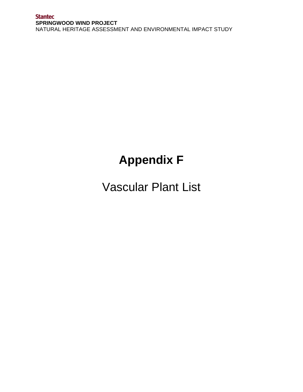## **Appendix F**

Vascular Plant List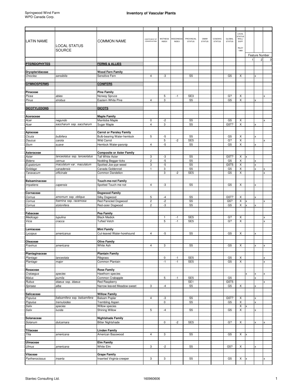|                             |                                     |                                           |                                           |              |                  |                                    |               |               |                        | LOCAL                         |               |                |   |
|-----------------------------|-------------------------------------|-------------------------------------------|-------------------------------------------|--------------|------------------|------------------------------------|---------------|---------------|------------------------|-------------------------------|---------------|----------------|---|
|                             |                                     |                                           | COEFFICIENT OF                            | WETNESS      | <b>NEEDINESS</b> | PROVINCIAL                         | OMNR          | COSEWIC       | GLOBAL                 | <b>STATUS</b><br><b>WELL/</b> |               |                |   |
| <b>LATIN NAME</b>           |                                     | <b>COMMON NAME</b>                        | CONSERVATISM                              | <b>INDEX</b> | <b>INDEX</b>     | <b>STATUS</b>                      | <b>STATUS</b> | <b>STATUS</b> | <b>STATUS</b>          | <b>DUFF</b>                   |               |                |   |
|                             | <b>LOCAL STATUS</b>                 |                                           |                                           |              |                  |                                    |               |               |                        | RILEY                         |               |                |   |
|                             | <b>SOURCE</b>                       |                                           |                                           |              |                  |                                    |               |               |                        | 1989                          |               |                |   |
|                             |                                     |                                           |                                           |              |                  |                                    |               |               |                        |                               |               | Feature Number |   |
|                             |                                     |                                           |                                           |              |                  |                                    |               |               |                        |                               | $\mathbf{1}$  | $\overline{c}$ | 3 |
| <b>PTERIDOPHYTES</b>        |                                     | <b>FERNS &amp; ALLIES</b>                 |                                           |              |                  |                                    |               |               |                        |                               |               |                |   |
|                             |                                     |                                           |                                           |              |                  |                                    |               |               |                        |                               |               |                |   |
| Dryopteridaceae             |                                     | <b>Wood Fern Family</b>                   |                                           |              |                  |                                    |               |               |                        |                               |               |                |   |
| Onoclea                     | sensibilis                          | Sensitive Fern                            | 4                                         | -3           |                  | S <sub>5</sub>                     |               |               | G <sub>5</sub>         | X                             |               |                |   |
| <b>GYMNOSPERMS</b>          |                                     | <b>CONIFERS</b>                           |                                           |              |                  |                                    |               |               |                        |                               |               |                |   |
|                             |                                     |                                           |                                           |              |                  |                                    |               |               |                        |                               |               |                |   |
| Pinaceae                    |                                     | <b>Pine Family</b>                        |                                           |              |                  |                                    |               |               |                        |                               |               |                |   |
| Picea                       | abies                               | Norway Spruce                             |                                           | 5            | $-1$             | SE <sub>3</sub>                    |               |               | G?                     | X                             |               |                |   |
| Pinus                       | strobus                             | Eastern White Pine                        | $\overline{4}$                            | 3            |                  | S <sub>5</sub>                     |               |               | G <sub>5</sub>         | X                             |               |                |   |
|                             |                                     |                                           |                                           |              |                  |                                    |               |               |                        |                               |               |                |   |
| <b>DICOTYLEDONS</b>         |                                     | <b>DICOTS</b>                             |                                           |              |                  |                                    |               |               |                        |                               |               |                |   |
|                             |                                     |                                           |                                           |              |                  |                                    |               |               |                        |                               |               |                |   |
| Aceraceae                   |                                     | <b>Maple Family</b>                       | 0                                         |              |                  | S <sub>5</sub>                     |               |               |                        |                               |               |                |   |
| Acer                        | negundo<br>saccharum ssp. saccharum | Manitoba Maple                            | $\overline{4}$                            | -2<br>3      |                  | S <sub>5</sub>                     |               |               | G <sub>5</sub><br>G5T? | х<br>X                        |               |                |   |
| Acer                        |                                     | Sugar Maple                               |                                           |              |                  |                                    |               |               |                        |                               |               |                |   |
| Apiaceae                    |                                     | <b>Carrot or Parsley Family</b>           |                                           |              |                  |                                    |               |               |                        |                               |               |                |   |
| Cicuta                      | bulbifera                           | <b>Bulb-bearing Water-hemlock</b>         | 5                                         | -5           |                  | S <sub>5</sub>                     |               |               | G <sub>5</sub>         | х                             |               |                |   |
| Daucus                      | carota                              | <b>Wild Carrot</b>                        |                                           | 5            | $-2$             | SE <sub>5</sub>                    |               |               | G?                     | X                             |               |                |   |
| Sium                        | suave                               | Hemlock Water-parsnip                     | $\overline{4}$                            | $-5$         |                  | S <sub>5</sub>                     |               |               | G <sub>5</sub>         | X                             |               |                |   |
|                             |                                     |                                           |                                           |              |                  |                                    |               |               |                        |                               |               |                |   |
| Asteraceae                  |                                     | <b>Composite or Aster Family</b>          |                                           |              |                  |                                    |               |               |                        |                               |               |                |   |
| Aster                       | lanceolatus ssp. lanceolatus        | Tall White Aster                          | 3                                         | -3           |                  | S <sub>5</sub>                     |               |               | G5T?                   | X                             |               |                |   |
| <b>Bidens</b><br>Eupatorium | cernua<br>maculatum var. maculatum  | Nodding Beggar-ticks                      | $\mathbf{2}$                              | $-5$<br>$-5$ |                  | S <sub>5</sub><br>S <sub>5</sub>   |               |               | G <sub>5</sub>         | X                             |               |                |   |
| Solidago                    | canadensis                          | Spotted Joe-pye-weed<br>Canada Goldenrod  | 3<br>1                                    | 3            |                  | S <sub>5</sub>                     |               |               | G5T5<br>G <sub>5</sub> | х<br>X                        |               | X              |   |
| Taraxacum                   | officinale                          | Common Dandelion                          |                                           | 3            | $-2$             | SE <sub>5</sub>                    |               |               | G <sub>5</sub>         | X                             |               |                |   |
|                             |                                     |                                           |                                           |              |                  |                                    |               |               |                        |                               |               |                |   |
| Balsaminaceae               |                                     | Touch-me-not Family                       |                                           |              |                  |                                    |               |               |                        |                               |               |                |   |
| Impatiens                   | capensis                            | Spotted Touch-me-not                      | $\overline{4}$                            | -3           |                  | S <sub>5</sub>                     |               |               | G <sub>5</sub>         | х                             |               |                |   |
|                             |                                     |                                           |                                           |              |                  |                                    |               |               |                        |                               |               |                |   |
| Cornaceae                   |                                     | <b>Dogwood Family</b>                     |                                           |              |                  |                                    |               |               |                        |                               |               |                |   |
| Cornus                      | amomum ssp. obliqua                 | Silky Dogwood                             | 5                                         | $-4$         |                  | S <sub>5</sub>                     |               |               | G5T?                   | X                             |               |                |   |
| Cornus                      | foemina ssp. racemosa               | Red Panicled Dogwood<br>Red-osier Dogwood | $\overline{\mathbf{c}}$<br>$\overline{c}$ | $-2$<br>-3   |                  | S <sub>5</sub><br>S <sub>5</sub>   |               |               | G5?<br>G <sub>5</sub>  | X<br>X                        | x<br><b>x</b> |                |   |
| Cornus                      | stolonifera                         |                                           |                                           |              |                  |                                    |               |               |                        |                               |               |                |   |
| Fabaceae                    |                                     | Pea Family                                |                                           |              |                  |                                    |               |               |                        |                               |               |                |   |
| Medicago                    | lupulina                            | <b>Black Medick</b>                       |                                           | 1            | $-1$             | SE <sub>5</sub>                    |               |               | G?                     | X                             |               |                |   |
| Vicia                       | cracca                              | <b>Tufted Vetch</b>                       |                                           | 5            | $-1$             | SE <sub>5</sub>                    |               |               | G?                     | X                             |               |                |   |
|                             |                                     |                                           |                                           |              |                  |                                    |               |               |                        |                               |               |                |   |
| Lamiaceae                   |                                     | <b>Mint Family</b>                        |                                           |              |                  |                                    |               |               |                        |                               |               |                |   |
| Lycopus                     | americanus                          | Cut-leaved Water-horehound                | $\overline{4}$                            | $-5$         |                  | S <sub>5</sub>                     |               |               | G <sub>5</sub>         | X                             |               |                |   |
|                             |                                     |                                           |                                           |              |                  |                                    |               |               |                        |                               |               |                |   |
| Oleaceae<br>Fraxinus        | americana                           | <b>Olive Family</b><br>White Ash          | 4                                         | 3            |                  | S <sub>5</sub>                     |               |               | G <sub>5</sub>         | X                             |               |                |   |
|                             |                                     |                                           |                                           |              |                  |                                    |               |               |                        |                               |               |                |   |
| Plantaginaceae              |                                     | <b>Plantain Family</b>                    |                                           |              |                  |                                    |               |               |                        |                               |               |                |   |
| Plantago                    | lanceolata                          | Ribgrass                                  |                                           | 0            | $-1$             | SE <sub>5</sub>                    |               |               | G <sub>5</sub>         | X                             |               |                |   |
| Plantago                    | major                               | Common Plantain                           |                                           | $-1$         | $-1$             | SE <sub>5</sub>                    |               |               | G <sub>5</sub>         | X                             |               |                | X |
|                             |                                     |                                           |                                           |              |                  |                                    |               |               |                        |                               |               |                |   |
| Rosaceae                    |                                     | <b>Rose Family</b>                        |                                           |              |                  |                                    |               |               |                        |                               |               |                |   |
| Crataegus                   | species                             | Hawthorn species                          |                                           |              |                  |                                    |               |               |                        |                               | x             |                |   |
| Malus<br>Rubus              | pumila                              | Common Crabapple<br><b>Red Raspberry</b>  |                                           | 5            | $-1$             | SE <sub>5</sub><br>SE <sub>1</sub> |               |               | G <sub>5</sub><br>G5T5 |                               |               |                |   |
| Spiraea                     | idaeus ssp. idaeus<br>alba          | Narrow-leaved Meadow-sweet                | 3                                         | -4           |                  | S <sub>5</sub>                     |               |               | G <sub>5</sub>         | X                             |               |                |   |
|                             |                                     |                                           |                                           |              |                  |                                    |               |               |                        |                               |               |                |   |
| Salicaceae                  |                                     | <b>Willow Family</b>                      |                                           |              |                  |                                    |               |               |                        |                               |               |                |   |
| Populus                     | balsamifera ssp. balsamifera        | <b>Balsam Poplar</b>                      | $\overline{4}$                            | -3           |                  | S <sub>5</sub>                     |               |               | G5T?                   | X                             |               | x              |   |
| Populus                     | tremuloides                         | <b>Trembling Aspen</b>                    |                                           | 0            |                  | S <sub>5</sub>                     |               |               | G <sub>5</sub>         | X                             |               | $\mathsf{x}$   |   |
| Salix                       | species                             | Willow species                            |                                           |              |                  |                                    |               |               |                        | X                             | x             |                |   |
| Salix                       | lucida                              | <b>Shining Willow</b>                     | 5                                         | $-4$         |                  | S <sub>5</sub>                     |               |               | G <sub>5</sub>         | X                             |               |                |   |
|                             |                                     |                                           |                                           |              |                  |                                    |               |               |                        |                               |               |                |   |
| Solanaceae                  |                                     | <b>Nightshade Family</b>                  |                                           |              |                  | SE <sub>5</sub>                    |               |               |                        |                               |               |                |   |
| Solanum                     | dulcamara                           | <b>Bitter Nightshade</b>                  |                                           | 0            | -2               |                                    |               |               | G?                     | X                             |               |                |   |
| Tiliaceae                   |                                     | <b>Linden Family</b>                      |                                           |              |                  |                                    |               |               |                        |                               |               |                |   |
| Tilia                       | americana                           | American Basswood                         | $\overline{4}$                            | 3            |                  | S <sub>5</sub>                     |               |               | G <sub>5</sub>         | X                             | $\times$      |                |   |
|                             |                                     |                                           |                                           |              |                  |                                    |               |               |                        |                               |               |                |   |
| Ulmaceae                    |                                     | <b>Elm Family</b>                         |                                           |              |                  |                                    |               |               |                        |                               |               |                |   |
| Ulmus                       | americana                           | White Elm                                 | 3                                         | -2           |                  | S <sub>5</sub>                     |               |               | G5?                    | X                             |               |                |   |
|                             |                                     |                                           |                                           |              |                  |                                    |               |               |                        |                               |               |                |   |
| Vitaceae                    |                                     | <b>Grape Family</b>                       |                                           |              |                  |                                    |               |               |                        |                               |               |                |   |
| Parthenocissus              | inserta                             | Inserted Virginia-creeper                 | 3                                         | 3            |                  | S <sub>5</sub>                     |               |               | G5                     | X                             |               |                |   |